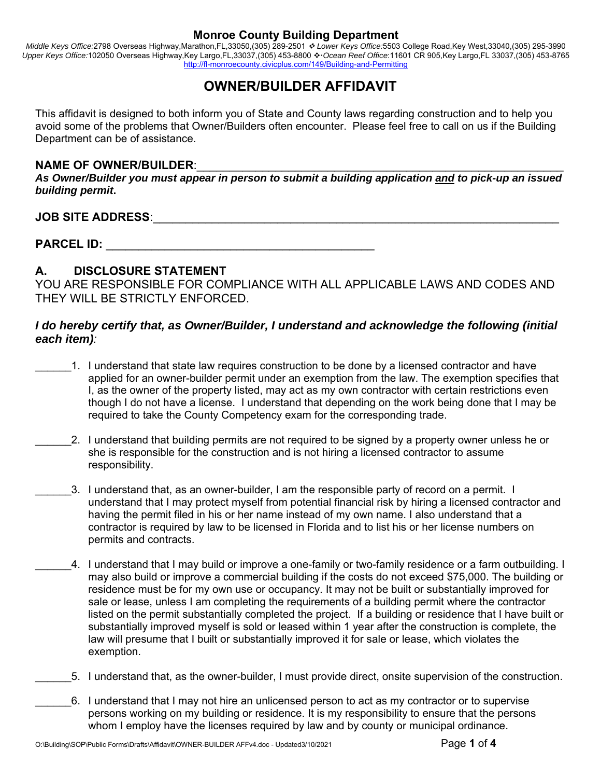*Middle Keys Office:*2798 Overseas Highway,Marathon,FL,33050,(305) 289-2501  *Lower Keys Office:*5503 College Road,Key West,33040,(305) 295-3990 Upper Keys Office:102050 Overseas Highway,Key Largo,FL,33037,(305) 453-8800 *↔ Ocean Reef Office*:11601 CR 905,Key Largo,FL 33037,(305) 453-8765 http://fl-monroecounty.civicplus.com/149/Building-and-Permitting

# **OWNER/BUILDER AFFIDAVIT**

This affidavit is designed to both inform you of State and County laws regarding construction and to help you avoid some of the problems that Owner/Builders often encounter. Please feel free to call on us if the Building Department can be of assistance.

#### NAME OF OWNER/BUILDER:

*As Owner/Builder you must appear in person to submit a building application and to pick-up an issued building permit***.** 

## **JOB SITE ADDRESS**:\_\_\_\_\_\_\_\_\_\_\_\_\_\_\_\_\_\_\_\_\_\_\_\_\_\_\_\_\_\_\_\_\_\_\_\_\_\_\_\_\_\_\_\_\_\_\_\_\_\_\_\_\_\_\_\_\_\_\_\_\_\_

**PARCEL ID:**  $\blacksquare$ 

# **A. DISCLOSURE STATEMENT**

YOU ARE RESPONSIBLE FOR COMPLIANCE WITH ALL APPLICABLE LAWS AND CODES AND THEY WILL BE STRICTLY ENFORCED.

#### *I do hereby certify that, as Owner/Builder, I understand and acknowledge the following (initial each item):*

- \_\_\_\_\_\_1. I understand that state law requires construction to be done by a licensed contractor and have applied for an owner-builder permit under an exemption from the law. The exemption specifies that I, as the owner of the property listed, may act as my own contractor with certain restrictions even though I do not have a license. I understand that depending on the work being done that I may be required to take the County Competency exam for the corresponding trade.
- \_\_\_\_\_\_2. I understand that building permits are not required to be signed by a property owner unless he or she is responsible for the construction and is not hiring a licensed contractor to assume responsibility.
- \_\_\_\_\_\_3. I understand that, as an owner-builder, I am the responsible party of record on a permit. I understand that I may protect myself from potential financial risk by hiring a licensed contractor and having the permit filed in his or her name instead of my own name. I also understand that a contractor is required by law to be licensed in Florida and to list his or her license numbers on permits and contracts.
	- \_\_\_\_\_\_4. I understand that I may build or improve a one-family or two-family residence or a farm outbuilding. I may also build or improve a commercial building if the costs do not exceed \$75,000. The building or residence must be for my own use or occupancy. It may not be built or substantially improved for sale or lease, unless I am completing the requirements of a building permit where the contractor listed on the permit substantially completed the project. If a building or residence that I have built or substantially improved myself is sold or leased within 1 year after the construction is complete, the law will presume that I built or substantially improved it for sale or lease, which violates the exemption.
		- \_\_\_\_\_\_5. I understand that, as the owner-builder, I must provide direct, onsite supervision of the construction.
	- \_\_\_\_\_\_6. I understand that I may not hire an unlicensed person to act as my contractor or to supervise persons working on my building or residence. It is my responsibility to ensure that the persons whom I employ have the licenses required by law and by county or municipal ordinance.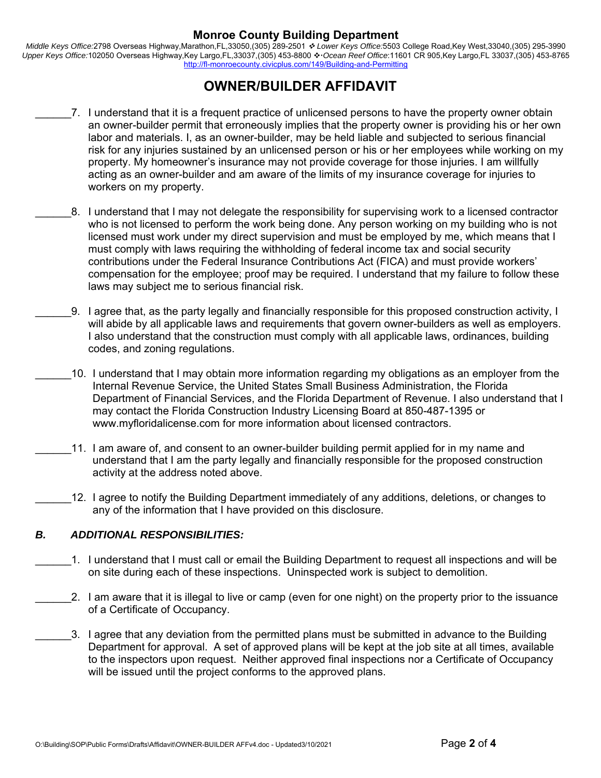*Middle Keys Office:*2798 Overseas Highway,Marathon,FL,33050,(305) 289-2501  *Lower Keys Office:*5503 College Road,Key West,33040,(305) 295-3990 Upper Keys Office:102050 Overseas Highway,Key Largo,FL,33037,(305) 453-8800 ❖ Ocean Reef Office:11601 CR 905,Key Largo,FL 33037,(305) 453-8765 http://fl-monroecounty.civicplus.com/149/Building-and-Permitting

# **OWNER/BUILDER AFFIDAVIT**

- 7. I understand that it is a frequent practice of unlicensed persons to have the property owner obtain an owner-builder permit that erroneously implies that the property owner is providing his or her own labor and materials. I, as an owner-builder, may be held liable and subjected to serious financial risk for any injuries sustained by an unlicensed person or his or her employees while working on my property. My homeowner's insurance may not provide coverage for those injuries. I am willfully acting as an owner-builder and am aware of the limits of my insurance coverage for injuries to workers on my property.
	- \_\_\_\_\_\_8. I understand that I may not delegate the responsibility for supervising work to a licensed contractor who is not licensed to perform the work being done. Any person working on my building who is not licensed must work under my direct supervision and must be employed by me, which means that I must comply with laws requiring the withholding of federal income tax and social security contributions under the Federal Insurance Contributions Act (FICA) and must provide workers' compensation for the employee; proof may be required. I understand that my failure to follow these laws may subject me to serious financial risk.
	- \_\_\_\_\_\_9. I agree that, as the party legally and financially responsible for this proposed construction activity, I will abide by all applicable laws and requirements that govern owner-builders as well as employers. I also understand that the construction must comply with all applicable laws, ordinances, building codes, and zoning regulations.
- \_\_\_\_\_\_10. I understand that I may obtain more information regarding my obligations as an employer from the Internal Revenue Service, the United States Small Business Administration, the Florida Department of Financial Services, and the Florida Department of Revenue. I also understand that I may contact the Florida Construction Industry Licensing Board at 850-487-1395 or www.myfloridalicense.com for more information about licensed contractors.
- 11. I am aware of, and consent to an owner-builder building permit applied for in my name and understand that I am the party legally and financially responsible for the proposed construction activity at the address noted above.
	- \_\_\_\_\_\_12. I agree to notify the Building Department immediately of any additions, deletions, or changes to any of the information that I have provided on this disclosure.

#### *B. ADDITIONAL RESPONSIBILITIES:*

- \_\_\_\_\_\_1. I understand that I must call or email the Building Department to request all inspections and will be on site during each of these inspections. Uninspected work is subject to demolition.
	- 2. I am aware that it is illegal to live or camp (even for one night) on the property prior to the issuance of a Certificate of Occupancy.
- \_\_\_\_\_\_3. I agree that any deviation from the permitted plans must be submitted in advance to the Building Department for approval. A set of approved plans will be kept at the job site at all times, available to the inspectors upon request. Neither approved final inspections nor a Certificate of Occupancy will be issued until the project conforms to the approved plans.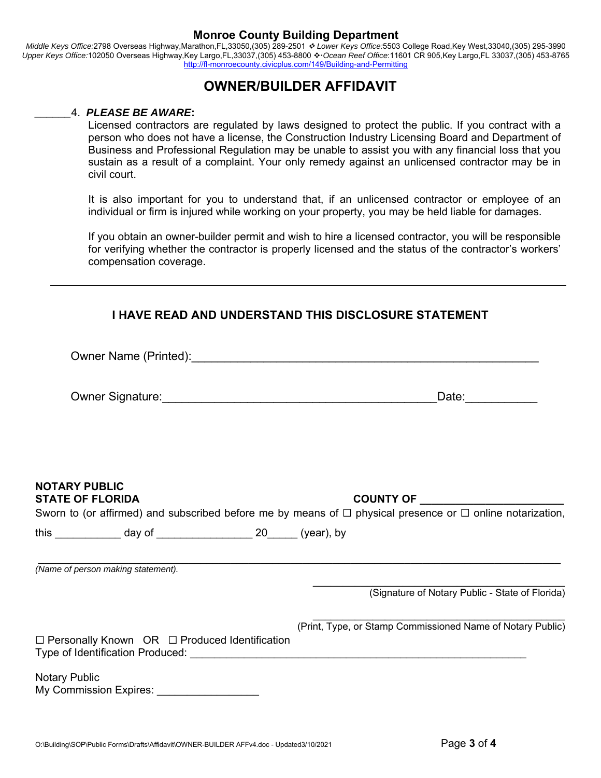*Middle Keys Office:*2798 Overseas Highway,Marathon,FL,33050,(305) 289-2501  *Lower Keys Office:*5503 College Road,Key West,33040,(305) 295-3990 Upper Keys Office:102050 Overseas Highway,Key Largo,FL,33037,(305) 453-8800  $\cdot \cdot$  Ocean Reef Office:11601 CR 905,Key Largo,FL 33037,(305) 453-8765 http://fl-monroecounty.civicplus.com/149/Building-and-Permitting

# **OWNER/BUILDER AFFIDAVIT**

#### *\_\_\_\_\_\_*4. *PLEASE BE AWARE***:**

Licensed contractors are regulated by laws designed to protect the public. If you contract with a person who does not have a license, the Construction Industry Licensing Board and Department of Business and Professional Regulation may be unable to assist you with any financial loss that you sustain as a result of a complaint. Your only remedy against an unlicensed contractor may be in civil court.

It is also important for you to understand that, if an unlicensed contractor or employee of an individual or firm is injured while working on your property, you may be held liable for damages.

If you obtain an owner-builder permit and wish to hire a licensed contractor, you will be responsible for verifying whether the contractor is properly licensed and the status of the contractor's workers' compensation coverage.

## **I HAVE READ AND UNDERSTAND THIS DISCLOSURE STATEMENT**

|                                                 |                                    |  | Date: ___________                                                                                                   |
|-------------------------------------------------|------------------------------------|--|---------------------------------------------------------------------------------------------------------------------|
|                                                 |                                    |  |                                                                                                                     |
| <b>NOTARY PUBLIC</b><br><b>STATE OF FLORIDA</b> |                                    |  | Sworn to (or affirmed) and subscribed before me by means of $\Box$ physical presence or $\Box$ online notarization, |
|                                                 |                                    |  |                                                                                                                     |
|                                                 | (Name of person making statement). |  |                                                                                                                     |
|                                                 |                                    |  | (Signature of Notary Public - State of Florida)                                                                     |
|                                                 |                                    |  | (Print, Type, or Stamp Commissioned Name of Notary Public)                                                          |

Notary Public My Commission Expires: